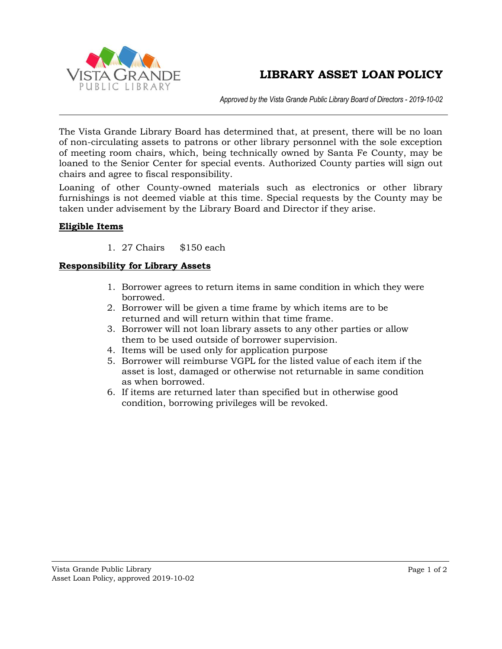## **LIBRARY ASSET LOAN POLICY**



*Approved by the Vista Grande Public Library Board of Directors - 2019-10-02*

The Vista Grande Library Board has determined that, at present, there will be no loan of non-circulating assets to patrons or other library personnel with the sole exception of meeting room chairs, which, being technically owned by Santa Fe County, may be loaned to the Senior Center for special events. Authorized County parties will sign out chairs and agree to fiscal responsibility.

Loaning of other County-owned materials such as electronics or other library furnishings is not deemed viable at this time. Special requests by the County may be taken under advisement by the Library Board and Director if they arise.

#### **Eligible Items**

1. 27 Chairs \$150 each

#### **Responsibility for Library Assets**

- 1. Borrower agrees to return items in same condition in which they were borrowed.
- 2. Borrower will be given a time frame by which items are to be returned and will return within that time frame.
- 3. Borrower will not loan library assets to any other parties or allow them to be used outside of borrower supervision.
- 4. Items will be used only for application purpose
- 5. Borrower will reimburse VGPL for the listed value of each item if the asset is lost, damaged or otherwise not returnable in same condition as when borrowed.
- 6. If items are returned later than specified but in otherwise good condition, borrowing privileges will be revoked.